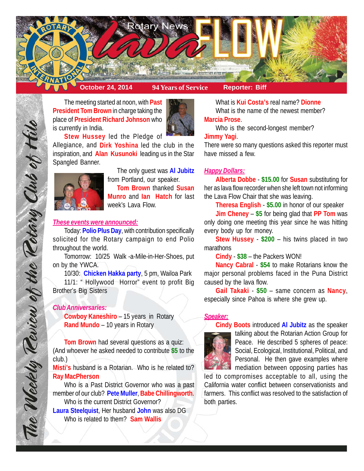

The meeting started at noon, with **Past President Tom Brown** in charge taking the place of **President Richard Johnson** who is currently in India.



**Stew Hussey** led the Pledge of

Allegiance, and **Dirk Yoshina** led the club in the inspiration, and **Alan Kusunoki** leading us in the Star Spangled Banner.



The only guest was **Al Jubitz** from Portland, our speaker. **Tom Brown** thanked **Susan Munro** and **Ian Hatch** for last week's Lava Flow.

## *These events were announced:*

Today: **Polio Plus Day**, with contribution specifically solicited for the Rotary campaign to end Polio throughout the world.

Tomorrow: 10/25 Walk -a-Mile-in-Her-Shoes, put on by the YWCA.

10/30: **Chicken Hakka party**, 5 pm, Wailoa Park 11/1: " Hollywood Horror" event to profit Big Brother's Big Sisters

# *Club Anniversaries:*

The Weekly Teview of the Tetary Club of Hilo

**Cowboy Kaneshiro** – 15 years in Rotary **Rand Mundo** – 10 years in Rotary

**Tom Brown** had several questions as a quiz: (And whoever he asked needed to contribute **\$5** to the club.)

**Misti's** husband is a Rotarian. Who is he related to? **Ray MacPherson**

Who is a Past District Governor who was a past member of our club? **Pete Muller**, **Babe Chillingworth**. Who is the current District Governor? **Laura Steelquist**, Her husband **John** was also DG Who is related to them? **Sam Wallis**

What is **Kui Costa's** real name? **Dionne** What is the name of the newest member? **Marcia Prose**.

Who is the second-longest member?

### **Jimmy Yagi**.

There were so many questions asked this reporter must have missed a few.

## *Happy Dollars:*

**Alberta Dobbe** - **\$15.00** for **Susan** substituting for her as lava flow recorder when she left town not informing the Lava Flow Chair that she was leaving.

**Theresa English** - **\$5.00** in honor of our speaker

**Jim Cheney** – **\$5** for being glad that **PP Tom** was only doing one meeting this year since he was hitting every body up for money.

**Stew Hussey** - **\$200** – his twins placed in two marathons

**Cindy** - **\$38** – the Packers WON!

**Nancy Cabral** - **\$54** to make Rotarians know the major personal problems faced in the Puna District caused by the lava flow.

**Gail Takaki** - **\$50** – same concern as **Nancy**, especially since Pahoa is where she grew up.

## *Speaker:*



**Cindy Boots** introduced **Al Jubitz** as the speaker talking about the Rotarian Action Group for Peace. He described 5 spheres of peace: Social, Ecological, Institutional, Political, and Personal. He then gave examples where mediation between opposing parties has

led to compromises acceptable to all, using the California water conflict between conservationists and farmers. This conflict was resolved to the satisfaction of both parties.